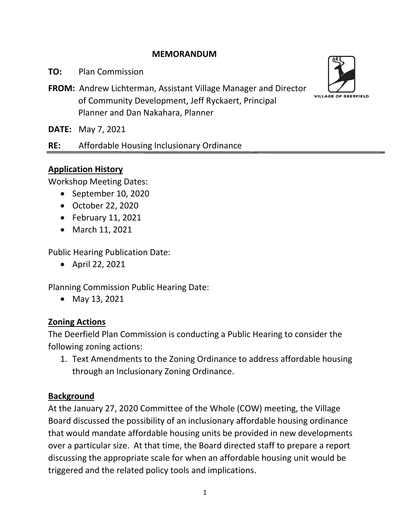## **MEMORANDUM**

**TO:** Plan Commission

**FROM:** Andrew Lichterman, Assistant Village Manager and Director of Community Development, Jeff Ryckaert, Principal Planner and Dan Nakahara, Planner

**DATE:** May 7, 2021

**RE:** Affordable Housing Inclusionary Ordinance

## **Application History**

Workshop Meeting Dates:

- September 10, 2020
- October 22, 2020
- February 11, 2021
- March 11, 2021

Public Hearing Publication Date:

• April 22, 2021

Planning Commission Public Hearing Date:

• May 13, 2021

## **Zoning Actions**

The Deerfield Plan Commission is conducting a Public Hearing to consider the following zoning actions:

1. Text Amendments to the Zoning Ordinance to address affordable housing through an Inclusionary Zoning Ordinance.

## **Background**

At the January 27, 2020 Committee of the Whole (COW) meeting, the Village Board discussed the possibility of an inclusionary affordable housing ordinance that would mandate affordable housing units be provided in new developments over a particular size. At that time, the Board directed staff to prepare a report discussing the appropriate scale for when an affordable housing unit would be triggered and the related policy tools and implications.

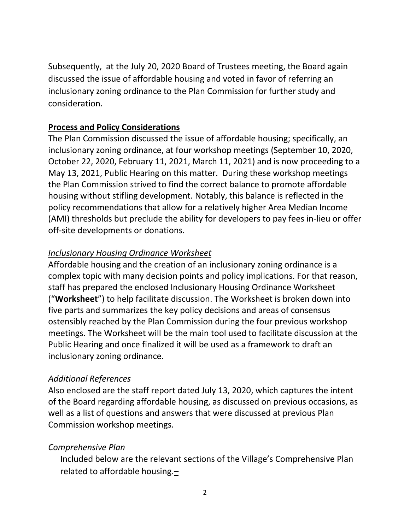Subsequently, at the July 20, 2020 Board of Trustees meeting, the Board again discussed the issue of affordable housing and voted in favor of referring an inclusionary zoning ordinance to the Plan Commission for further study and consideration.

## **Process and Policy Considerations**

The Plan Commission discussed the issue of affordable housing; specifically, an inclusionary zoning ordinance, at four workshop meetings (September 10, 2020, October 22, 2020, February 11, 2021, March 11, 2021) and is now proceeding to a May 13, 2021, Public Hearing on this matter. During these workshop meetings the Plan Commission strived to find the correct balance to promote affordable housing without stifling development. Notably, this balance is reflected in the policy recommendations that allow for a relatively higher Area Median Income (AMI) thresholds but preclude the ability for developers to pay fees in-lieu or offer off-site developments or donations.

## *Inclusionary Housing Ordinance Worksheet*

Affordable housing and the creation of an inclusionary zoning ordinance is a complex topic with many decision points and policy implications. For that reason, staff has prepared the enclosed Inclusionary Housing Ordinance Worksheet ("**Worksheet**") to help facilitate discussion. The Worksheet is broken down into five parts and summarizes the key policy decisions and areas of consensus ostensibly reached by the Plan Commission during the four previous workshop meetings. The Worksheet will be the main tool used to facilitate discussion at the Public Hearing and once finalized it will be used as a framework to draft an inclusionary zoning ordinance.

## *Additional References*

Also enclosed are the staff report dated July 13, 2020, which captures the intent of the Board regarding affordable housing, as discussed on previous occasions, as well as a list of questions and answers that were discussed at previous Plan Commission workshop meetings.

## *Comprehensive Plan*

Included below are the relevant sections of the Village's Comprehensive Plan related to affordable housing.–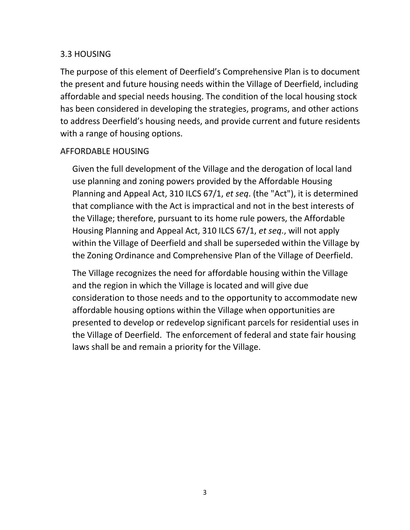### 3.3 HOUSING

The purpose of this element of Deerfield's Comprehensive Plan is to document the present and future housing needs within the Village of Deerfield, including affordable and special needs housing. The condition of the local housing stock has been considered in developing the strategies, programs, and other actions to address Deerfield's housing needs, and provide current and future residents with a range of housing options.

### AFFORDABLE HOUSING

Given the full development of the Village and the derogation of local land use planning and zoning powers provided by the Affordable Housing Planning and Appeal Act, 310 ILCS 67/1, *et seq*. (the "Act"), it is determined that compliance with the Act is impractical and not in the best interests of the Village; therefore, pursuant to its home rule powers, the Affordable Housing Planning and Appeal Act, 310 ILCS 67/1, *et seq*., will not apply within the Village of Deerfield and shall be superseded within the Village by the Zoning Ordinance and Comprehensive Plan of the Village of Deerfield.

The Village recognizes the need for affordable housing within the Village and the region in which the Village is located and will give due consideration to those needs and to the opportunity to accommodate new affordable housing options within the Village when opportunities are presented to develop or redevelop significant parcels for residential uses in the Village of Deerfield. The enforcement of federal and state fair housing laws shall be and remain a priority for the Village.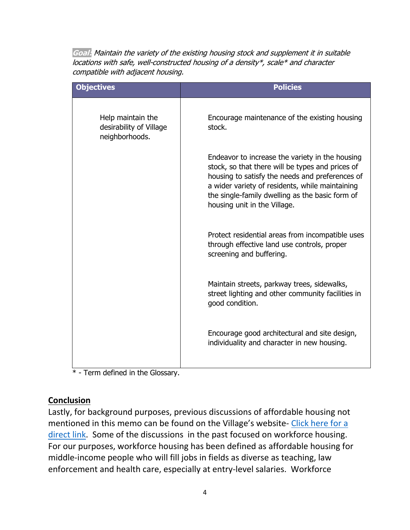**Goal:** Maintain the variety of the existing housing stock and supplement it in suitable locations with safe, well-constructed housing of a density\*, scale\* and character compatible with adjacent housing.

| <b>Objectives</b>                                              | <b>Policies</b>                                                                                                                                                                                                                                                                              |
|----------------------------------------------------------------|----------------------------------------------------------------------------------------------------------------------------------------------------------------------------------------------------------------------------------------------------------------------------------------------|
| Help maintain the<br>desirability of Village<br>neighborhoods. | Encourage maintenance of the existing housing<br>stock.                                                                                                                                                                                                                                      |
|                                                                | Endeavor to increase the variety in the housing<br>stock, so that there will be types and prices of<br>housing to satisfy the needs and preferences of<br>a wider variety of residents, while maintaining<br>the single-family dwelling as the basic form of<br>housing unit in the Village. |
|                                                                | Protect residential areas from incompatible uses<br>through effective land use controls, proper<br>screening and buffering.                                                                                                                                                                  |
|                                                                | Maintain streets, parkway trees, sidewalks,<br>street lighting and other community facilities in<br>good condition.                                                                                                                                                                          |
|                                                                | Encourage good architectural and site design,<br>individuality and character in new housing.                                                                                                                                                                                                 |

\* - Term defined in the Glossary.

## **Conclusion**

Lastly, for background purposes, previous discussions of affordable housing not mentioned in this memo can be found on the Village's website- [Click here for a](http://www.deerfield.il.us/168/Workforce-Housing)  [direct link.](http://www.deerfield.il.us/168/Workforce-Housing) Some of the discussions in the past focused on workforce housing. For our purposes, workforce housing has been defined as affordable housing for middle-income people who will fill jobs in fields as diverse as teaching, law enforcement and health care, especially at entry-level salaries. Workforce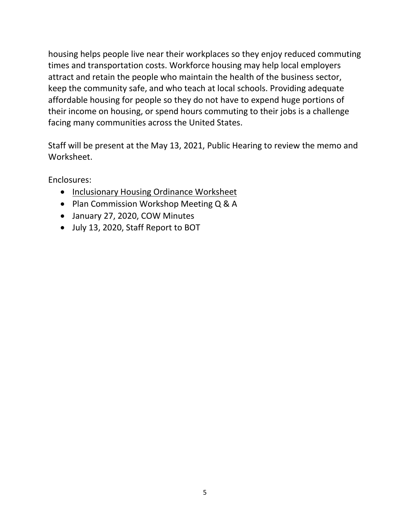housing helps people live near their workplaces so they enjoy reduced commuting times and transportation costs. Workforce housing may help local employers attract and retain the people who maintain the health of the business sector, keep the community safe, and who teach at local schools. Providing adequate affordable housing for people so they do not have to expend huge portions of their income on housing, or spend hours commuting to their jobs is a challenge facing many communities across the United States.

Staff will be present at the May 13, 2021, Public Hearing to review the memo and Worksheet.

Enclosures:

- Inclusionary Housing Ordinance Worksheet
- Plan Commission Workshop Meeting Q & A
- January 27, 2020, COW Minutes
- July 13, 2020, Staff Report to BOT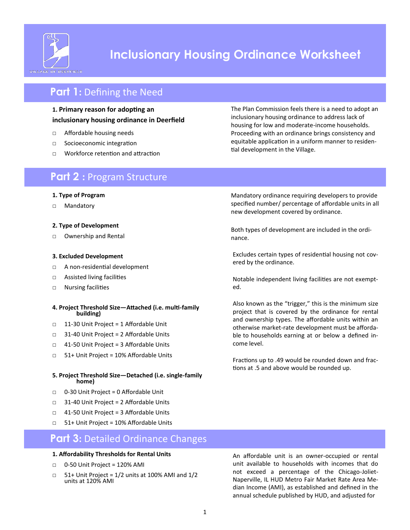

# **Inclusionary Housing Ordinance Worksheet**

# **Part 1: Defining the Need**

### **1. Primary reason for adopting an inclusionary housing ordinance in Deerfield**

- □ Affordable housing needs
- □ Socioeconomic integration
- □ Workforce retention and attraction

## **Part 2 :** Program Structure

### **1. Type of Program**

□ Mandatory

### **2. Type of Development**

□ Ownership and Rental

### **3. Excluded Development**

- □ A non-residential development
- □ Assisted living facilities
- □ Nursing facilities

#### **4. Project Threshold Size—Attached (i.e. multi-family building)**

- □ 11-30 Unit Project = 1 Affordable Unit
- □ 31-40 Unit Project = 2 Affordable Units
- □ 41-50 Unit Project = 3 Affordable Units
- □ 51+ Unit Project = 10% Affordable Units
- **5. Project Threshold Size—Detached (i.e. single-family home)**
- □ 0-30 Unit Project = 0 Affordable Unit
- □ 31-40 Unit Project = 2 Affordable Units
- □ 41-50 Unit Project = 3 Affordable Units
- □ 51+ Unit Project = 10% Affordable Units

## **Part 3: Detailed Ordinance Changes**

#### **1. Affordability Thresholds for Rental Units**

- □ 0-50 Unit Project = 120% AMI
- $\Box$  51+ Unit Project = 1/2 units at 100% AMI and 1/2 units at 120% AMI

The Plan Commission feels there is a need to adopt an inclusionary housing ordinance to address lack of housing for low and moderate-income households. Proceeding with an ordinance brings consistency and equitable application in a uniform manner to residential development in the Village.

Mandatory ordinance requiring developers to provide specified number/ percentage of affordable units in all new development covered by ordinance.

Both types of development are included in the ordinance.

Excludes certain types of residential housing not covered by the ordinance.

Notable independent living facilities are not exempted.

Also known as the "trigger," this is the minimum size project that is covered by the ordinance for rental and ownership types. The affordable units within an otherwise market-rate development must be affordable to households earning at or below a defined income level.

Fractions up to .49 would be rounded down and fractions at .5 and above would be rounded up.

An affordable unit is an owner-occupied or rental unit available to households with incomes that do not exceed a percentage of the Chicago-Joliet-Naperville, IL HUD Metro Fair Market Rate Area Median Income (AMI), as established and defined in the annual schedule published by HUD, and adjusted for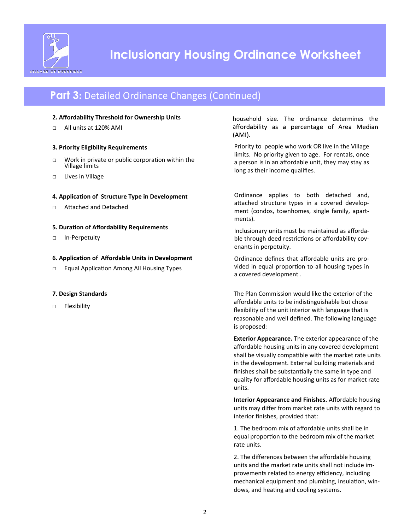

# **Part 3: Detailed Ordinance Changes (Continued)**

### **2. Affordability Threshold for Ownership Units**

□ All units at 120% AMI

### **3. Priority Eligibility Requirements**

- □ Work in private or public corporation within the Village limits
- □ Lives in Village

### **4. Application of Structure Type in Development**

□ Attached and Detached

### **5. Duration of Affordability Requirements**

□ In-Perpetuity

### **6. Application of Affordable Units in Development**

□ Equal Application Among All Housing Types

### **7. Design Standards**

□ Flexibility

household size. The ordinance determines the affordability as a percentage of Area Median  $(AMI)$ .

Priority to people who work OR live in the Village limits. No priority given to age. For rentals, once a person is in an affordable unit, they may stay as long as their income qualifies.

Ordinance applies to both detached and, attached structure types in a covered development (condos, townhomes, single family, apartments).

Inclusionary units must be maintained as affordable through deed restrictions or affordability covenants in perpetuity.

Ordinance defines that affordable units are provided in equal proportion to all housing types in a covered development .

The Plan Commission would like the exterior of the affordable units to be indistinguishable but chose flexibility of the unit interior with language that is reasonable and well defined. The following language is proposed:

**Exterior Appearance.** The exterior appearance of the affordable housing units in any covered development shall be visually compatible with the market rate units in the development. External building materials and finishes shall be substantially the same in type and quality for affordable housing units as for market rate units.

**Interior Appearance and Finishes.** Affordable housing units may differ from market rate units with regard to interior finishes, provided that:

1. The bedroom mix of affordable units shall be in equal proportion to the bedroom mix of the market rate units.

2. The differences between the affordable housing units and the market rate units shall not include improvements related to energy efficiency, including mechanical equipment and plumbing, insulation, windows, and heating and cooling systems.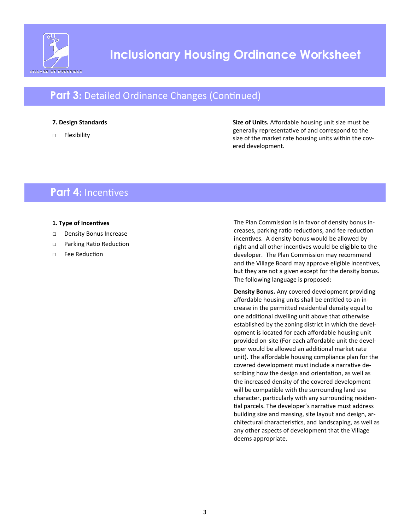

# **Part 3: Detailed Ordinance Changes (Continued)**

### **7. Design Standards**

□ Flexibility

**Size of Units.** Affordable housing unit size must be generally representative of and correspond to the size of the market rate housing units within the covered development.

## **Part 4:** Incentives

### **1. Type of Incentives**

- □ Density Bonus Increase
- □ Parking Ratio Reduction
- □ Fee Reduction

The Plan Commission is in favor of density bonus increases, parking ratio reductions, and fee reduction incentives. A density bonus would be allowed by right and all other incentives would be eligible to the developer. The Plan Commission may recommend and the Village Board may approve eligible incentives, but they are not a given except for the density bonus. The following language is proposed:

**Density Bonus.** Any covered development providing affordable housing units shall be entitled to an increase in the permitted residential density equal to one additional dwelling unit above that otherwise established by the zoning district in which the development is located for each affordable housing unit provided on-site (For each affordable unit the developer would be allowed an additional market rate unit). The affordable housing compliance plan for the covered development must include a narrative describing how the design and orientation, as well as the increased density of the covered development will be compatible with the surrounding land use character, particularly with any surrounding residential parcels. The developer's narrative must address building size and massing, site layout and design, architectural characteristics, and landscaping, as well as any other aspects of development that the Village deems appropriate.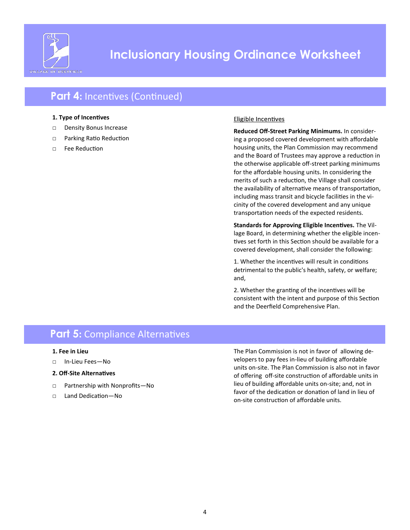

# **Inclusionary Housing Ordinance Worksheet**

# **Part 4: Incentives (Continued)**

### **1. Type of Incentives**

- □ Density Bonus Increase
- □ Parking Ratio Reduction
- □ Fee Reduction

### Eligible Incentives

**Reduced Off-Street Parking Minimums.** In considering a proposed covered development with affordable housing units, the Plan Commission may recommend and the Board of Trustees may approve a reduction in the otherwise applicable off-street parking minimums for the affordable housing units. In considering the merits of such a reduction, the Village shall consider the availability of alternative means of transportation, including mass transit and bicycle facilities in the vicinity of the covered development and any unique transportation needs of the expected residents.

**Standards for Approving Eligible Incentives.** The Village Board, in determining whether the eligible incentives set forth in this Section should be available for a covered development, shall consider the following:

1. Whether the incentives will result in conditions detrimental to the public's health, safety, or welfare; and,

2. Whether the granting of the incentives will be consistent with the intent and purpose of this Section and the Deerfield Comprehensive Plan.

## **Part 5: Compliance Alternatives**

- **1. Fee in Lieu**
- □ In-Lieu Fees—No
- **2. Off-Site Alternatives**
- □ Partnership with Nonprofits-No
- □ Land Dedication-No

The Plan Commission is not in favor of allowing developers to pay fees in-lieu of building affordable units on-site. The Plan Commission is also not in favor of offering off-site construction of affordable units in lieu of building affordable units on-site; and, not in favor of the dedication or donation of land in lieu of on-site construction of affordable units.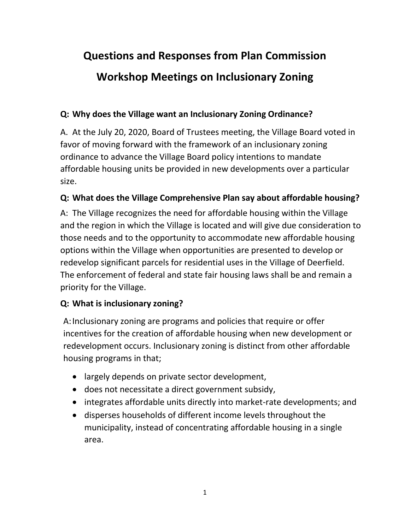# **Questions and Responses from Plan Commission**

# **Workshop Meetings on Inclusionary Zoning**

## **Q: Why does the Village want an Inclusionary Zoning Ordinance?**

A. At the July 20, 2020, Board of Trustees meeting, the Village Board voted in favor of moving forward with the framework of an inclusionary zoning ordinance to advance the Village Board policy intentions to mandate affordable housing units be provided in new developments over a particular size.

# **Q: What does the Village Comprehensive Plan say about affordable housing?**

A: The Village recognizes the need for affordable housing within the Village and the region in which the Village is located and will give due consideration to those needs and to the opportunity to accommodate new affordable housing options within the Village when opportunities are presented to develop or redevelop significant parcels for residential uses in the Village of Deerfield. The enforcement of federal and state fair housing laws shall be and remain a priority for the Village.

# **Q: What is inclusionary zoning?**

A:Inclusionary zoning are programs and policies that require or offer incentives for the creation of affordable housing when new development or redevelopment occurs. Inclusionary zoning is distinct from other affordable housing programs in that;

- largely depends on private sector development,
- does not necessitate a direct government subsidy,
- integrates affordable units directly into market-rate developments; and
- disperses households of different income levels throughout the municipality, instead of concentrating affordable housing in a single area.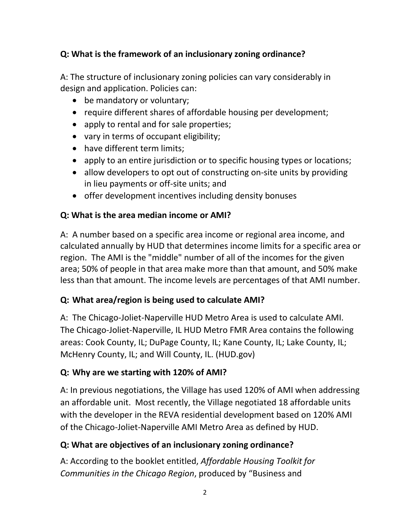## **Q: What is the framework of an inclusionary zoning ordinance?**

A: The structure of inclusionary zoning policies can vary considerably in design and application. Policies can:

- be mandatory or voluntary;
- require different shares of affordable housing per development;
- apply to rental and for sale properties;
- vary in terms of occupant eligibility;
- have different term limits;
- apply to an entire jurisdiction or to specific housing types or locations;
- allow developers to opt out of constructing on-site units by providing in lieu payments or off-site units; and
- offer development incentives including density bonuses

# **Q: What is the area median income or AMI?**

A: A number based on a specific area income or regional area income, and calculated annually by HUD that determines income limits for a specific area or region. The AMI is the "middle" number of all of the incomes for the given area; 50% of people in that area make more than that amount, and 50% make less than that amount. The income levels are percentages of that AMI number.

## **Q: What area/region is being used to calculate AMI?**

A: The Chicago-Joliet-Naperville HUD Metro Area is used to calculate AMI. The Chicago-Joliet-Naperville, IL HUD Metro FMR Area contains the following areas: Cook County, IL; DuPage County, IL; Kane County, IL; Lake County, IL; McHenry County, IL; and Will County, IL. (HUD.gov)

# **Q: Why are we starting with 120% of AMI?**

A: In previous negotiations, the Village has used 120% of AMI when addressing an affordable unit. Most recently, the Village negotiated 18 affordable units with the developer in the REVA residential development based on 120% AMI of the Chicago-Joliet-Naperville AMI Metro Area as defined by HUD.

# **Q: What are objectives of an inclusionary zoning ordinance?**

A: According to the booklet entitled, *Affordable Housing Toolkit for Communities in the Chicago Region*, produced by "Business and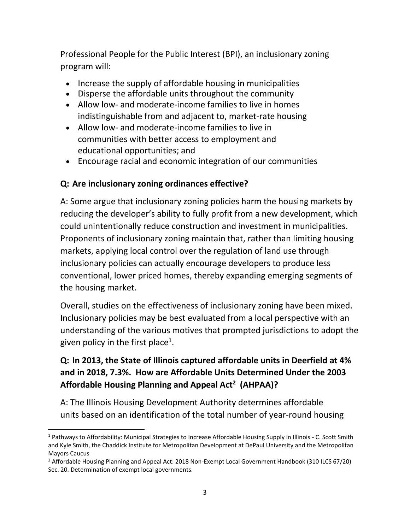Professional People for the Public Interest (BPI), an inclusionary zoning program will:

- Increase the supply of affordable housing in municipalities
- Disperse the affordable units throughout the community
- Allow low- and moderate-income families to live in homes indistinguishable from and adjacent to, market-rate housing
- Allow low- and moderate-income families to live in communities with better access to employment and educational opportunities; and
- Encourage racial and economic integration of our communities

## **Q: Are inclusionary zoning ordinances effective?**

l

A: Some argue that inclusionary zoning policies harm the housing markets by reducing the developer's ability to fully profit from a new development, which could unintentionally reduce construction and investment in municipalities. Proponents of inclusionary zoning maintain that, rather than limiting housing markets, applying local control over the regulation of land use through inclusionary policies can actually encourage developers to produce less conventional, lower priced homes, thereby expanding emerging segments of the housing market.

Overall, studies on the effectiveness of inclusionary zoning have been mixed. Inclusionary policies may be best evaluated from a local perspective with an understanding of the various motives that prompted jurisdictions to adopt the given policy in the first place<sup>1</sup>.

# **Q: In 2013, the State of Illinois captured affordable units in Deerfield at 4% and in 2018, 7.3%. How are Affordable Units Determined Under the 2003 Affordable Housing Planning and Appeal Act<sup>2</sup> (AHPAA)?**

A: The Illinois Housing Development Authority determines affordable units based on an identification of the total number of year-round housing

<sup>1</sup> Pathways to Affordability: Municipal Strategies to Increase Affordable Housing Supply in Illinois - C. Scott Smith and Kyle Smith, the Chaddick Institute for Metropolitan Development at DePaul University and the Metropolitan Mayors Caucus

<sup>2</sup> Affordable Housing Planning and Appeal Act: 2018 Non-Exempt Local Government Handbook (310 ILCS 67/20) Sec. 20. Determination of exempt local governments.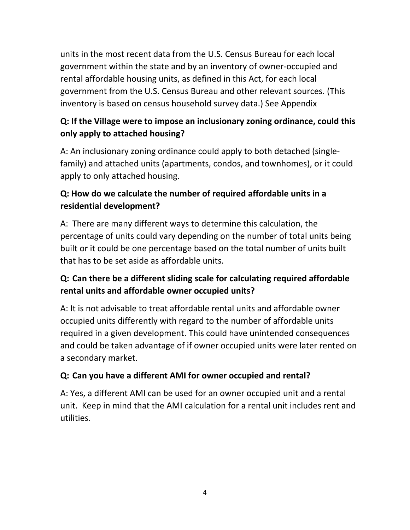units in the most recent data from the U.S. Census Bureau for each local government within the state and by an inventory of owner-occupied and rental affordable housing units, as defined in this Act, for each local government from the U.S. Census Bureau and other relevant sources. (This inventory is based on census household survey data.) See Appendix

# **Q: If the Village were to impose an inclusionary zoning ordinance, could this only apply to attached housing?**

A: An inclusionary zoning ordinance could apply to both detached (singlefamily) and attached units (apartments, condos, and townhomes), or it could apply to only attached housing.

# **Q: How do we calculate the number of required affordable units in a residential development?**

A: There are many different ways to determine this calculation, the percentage of units could vary depending on the number of total units being built or it could be one percentage based on the total number of units built that has to be set aside as affordable units.

# **Q: Can there be a different sliding scale for calculating required affordable rental units and affordable owner occupied units?**

A: It is not advisable to treat affordable rental units and affordable owner occupied units differently with regard to the number of affordable units required in a given development. This could have unintended consequences and could be taken advantage of if owner occupied units were later rented on a secondary market.

# **Q: Can you have a different AMI for owner occupied and rental?**

A: Yes, a different AMI can be used for an owner occupied unit and a rental unit. Keep in mind that the AMI calculation for a rental unit includes rent and utilities.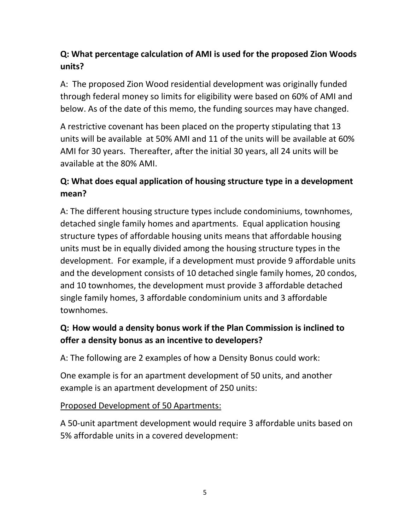# **Q: What percentage calculation of AMI is used for the proposed Zion Woods units?**

A: The proposed Zion Wood residential development was originally funded through federal money so limits for eligibility were based on 60% of AMI and below. As of the date of this memo, the funding sources may have changed.

A restrictive covenant has been placed on the property stipulating that 13 units will be available at 50% AMI and 11 of the units will be available at 60% AMI for 30 years. Thereafter, after the initial 30 years, all 24 units will be available at the 80% AMI.

# **Q: What does equal application of housing structure type in a development mean?**

A: The different housing structure types include condominiums, townhomes, detached single family homes and apartments. Equal application housing structure types of affordable housing units means that affordable housing units must be in equally divided among the housing structure types in the development. For example, if a development must provide 9 affordable units and the development consists of 10 detached single family homes, 20 condos, and 10 townhomes, the development must provide 3 affordable detached single family homes, 3 affordable condominium units and 3 affordable townhomes.

# **Q: How would a density bonus work if the Plan Commission is inclined to offer a density bonus as an incentive to developers?**

A: The following are 2 examples of how a Density Bonus could work:

One example is for an apartment development of 50 units, and another example is an apartment development of 250 units:

## Proposed Development of 50 Apartments:

A 50-unit apartment development would require 3 affordable units based on 5% affordable units in a covered development: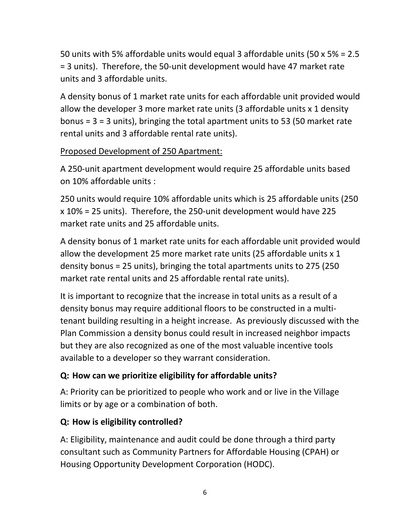50 units with 5% affordable units would equal 3 affordable units (50 x 5% = 2.5 = 3 units). Therefore, the 50-unit development would have 47 market rate units and 3 affordable units.

A density bonus of 1 market rate units for each affordable unit provided would allow the developer 3 more market rate units (3 affordable units x 1 density bonus = 3 = 3 units), bringing the total apartment units to 53 (50 market rate rental units and 3 affordable rental rate units).

## Proposed Development of 250 Apartment:

A 250-unit apartment development would require 25 affordable units based on 10% affordable units :

250 units would require 10% affordable units which is 25 affordable units (250 x 10% = 25 units). Therefore, the 250-unit development would have 225 market rate units and 25 affordable units.

A density bonus of 1 market rate units for each affordable unit provided would allow the development 25 more market rate units (25 affordable units x 1 density bonus = 25 units), bringing the total apartments units to 275 (250 market rate rental units and 25 affordable rental rate units).

It is important to recognize that the increase in total units as a result of a density bonus may require additional floors to be constructed in a multitenant building resulting in a height increase. As previously discussed with the Plan Commission a density bonus could result in increased neighbor impacts but they are also recognized as one of the most valuable incentive tools available to a developer so they warrant consideration.

## **Q: How can we prioritize eligibility for affordable units?**

A: Priority can be prioritized to people who work and or live in the Village limits or by age or a combination of both.

## **Q: How is eligibility controlled?**

A: Eligibility, maintenance and audit could be done through a third party consultant such as Community Partners for Affordable Housing (CPAH) or Housing Opportunity Development Corporation (HODC).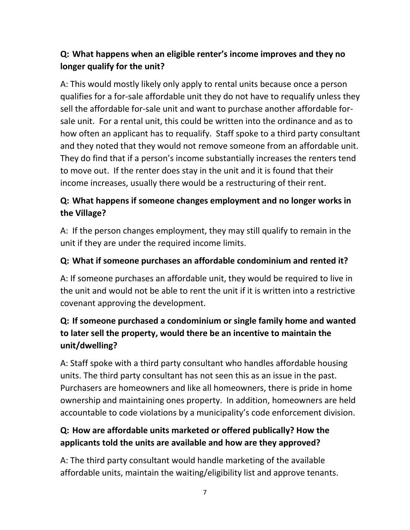# **Q: What happens when an eligible renter's income improves and they no longer qualify for the unit?**

A: This would mostly likely only apply to rental units because once a person qualifies for a for-sale affordable unit they do not have to requalify unless they sell the affordable for-sale unit and want to purchase another affordable forsale unit. For a rental unit, this could be written into the ordinance and as to how often an applicant has to requalify. Staff spoke to a third party consultant and they noted that they would not remove someone from an affordable unit. They do find that if a person's income substantially increases the renters tend to move out. If the renter does stay in the unit and it is found that their income increases, usually there would be a restructuring of their rent.

# **Q: What happens if someone changes employment and no longer works in the Village?**

A: If the person changes employment, they may still qualify to remain in the unit if they are under the required income limits.

## **Q: What if someone purchases an affordable condominium and rented it?**

A: If someone purchases an affordable unit, they would be required to live in the unit and would not be able to rent the unit if it is written into a restrictive covenant approving the development.

# **Q: If someone purchased a condominium or single family home and wanted to later sell the property, would there be an incentive to maintain the unit/dwelling?**

A: Staff spoke with a third party consultant who handles affordable housing units. The third party consultant has not seen this as an issue in the past. Purchasers are homeowners and like all homeowners, there is pride in home ownership and maintaining ones property. In addition, homeowners are held accountable to code violations by a municipality's code enforcement division.

# **Q: How are affordable units marketed or offered publically? How the applicants told the units are available and how are they approved?**

A: The third party consultant would handle marketing of the available affordable units, maintain the waiting/eligibility list and approve tenants.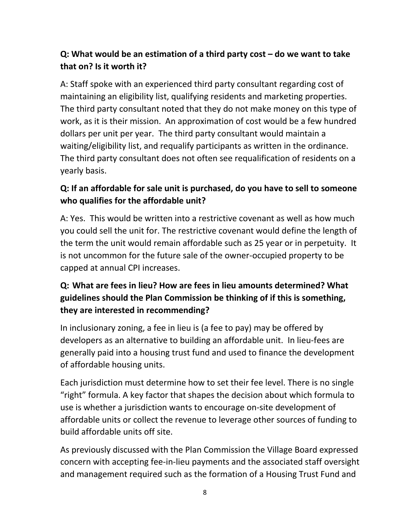## **Q: What would be an estimation of a third party cost – do we want to take that on? Is it worth it?**

A: Staff spoke with an experienced third party consultant regarding cost of maintaining an eligibility list, qualifying residents and marketing properties. The third party consultant noted that they do not make money on this type of work, as it is their mission. An approximation of cost would be a few hundred dollars per unit per year. The third party consultant would maintain a waiting/eligibility list, and requalify participants as written in the ordinance. The third party consultant does not often see requalification of residents on a yearly basis.

## **Q: If an affordable for sale unit is purchased, do you have to sell to someone who qualifies for the affordable unit?**

A: Yes. This would be written into a restrictive covenant as well as how much you could sell the unit for. The restrictive covenant would define the length of the term the unit would remain affordable such as 25 year or in perpetuity. It is not uncommon for the future sale of the owner-occupied property to be capped at annual CPI increases.

# **Q: What are fees in lieu? How are fees in lieu amounts determined? What guidelines should the Plan Commission be thinking of if this is something, they are interested in recommending?**

In inclusionary zoning, a fee in lieu is (a fee to pay) may be offered by developers as an alternative to building an affordable unit. In lieu-fees are generally paid into a housing trust fund and used to finance the development of affordable housing units.

Each jurisdiction must determine how to set their fee level. There is no single "right" formula. A key factor that shapes the decision about which formula to use is whether a jurisdiction wants to encourage on-site development of affordable units or collect the revenue to leverage other sources of funding to build affordable units off site.

As previously discussed with the Plan Commission the Village Board expressed concern with accepting fee-in-lieu payments and the associated staff oversight and management required such as the formation of a Housing Trust Fund and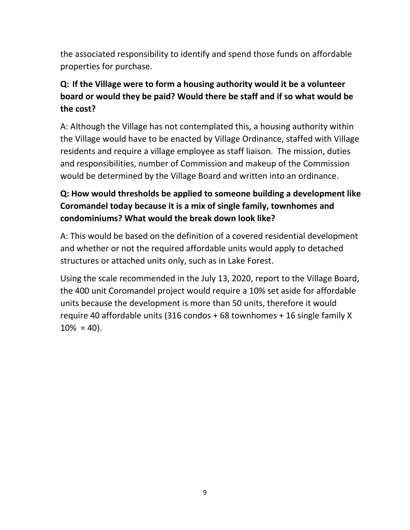the associated responsibility to identify and spend those funds on affordable properties for purchase.

# **Q: If the Village were to form a housing authority would it be a volunteer board or would they be paid? Would there be staff and if so what would be the cost?**

A: Although the Village has not contemplated this, a housing authority within the Village would have to be enacted by Village Ordinance, staffed with Village residents and require a village employee as staff liaison. The mission, duties and responsibilities, number of Commission and makeup of the Commission would be determined by the Village Board and written into an ordinance.

# **Q: How would thresholds be applied to someone building a development like Coromandel today because it is a mix of single family, townhomes and condominiums? What would the break down look like?**

A: This would be based on the definition of a covered residential development and whether or not the required affordable units would apply to detached structures or attached units only, such as in Lake Forest.

Using the scale recommended in the July 13, 2020, report to the Village Board, the 400 unit Coromandel project would require a 10% set aside for affordable units because the development is more than 50 units, therefore it would require 40 affordable units (316 condos + 68 townhomes + 16 single family X  $10\% = 40$ ).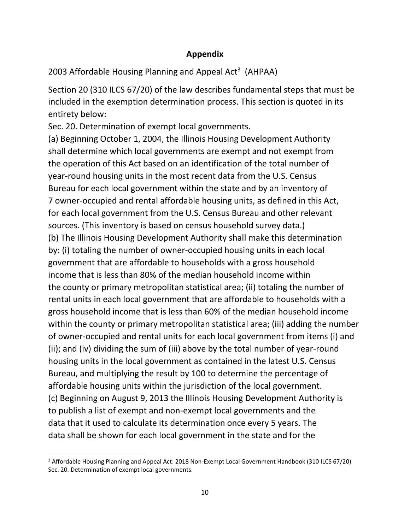## **Appendix**

2003 Affordable Housing Planning and Appeal Act<sup>3</sup> (AHPAA)

Section 20 (310 ILCS 67/20) of the law describes fundamental steps that must be included in the exemption determination process. This section is quoted in its entirety below:

Sec. 20. Determination of exempt local governments.

(a) Beginning October 1, 2004, the Illinois Housing Development Authority shall determine which local governments are exempt and not exempt from the operation of this Act based on an identification of the total number of year-round housing units in the most recent data from the U.S. Census Bureau for each local government within the state and by an inventory of 7 owner-occupied and rental affordable housing units, as defined in this Act, for each local government from the U.S. Census Bureau and other relevant sources. (This inventory is based on census household survey data.) (b) The Illinois Housing Development Authority shall make this determination by: (i) totaling the number of owner-occupied housing units in each local government that are affordable to households with a gross household income that is less than 80% of the median household income within the county or primary metropolitan statistical area; (ii) totaling the number of rental units in each local government that are affordable to households with a gross household income that is less than 60% of the median household income within the county or primary metropolitan statistical area; (iii) adding the number of owner-occupied and rental units for each local government from items (i) and (ii); and (iv) dividing the sum of (iii) above by the total number of year-round housing units in the local government as contained in the latest U.S. Census Bureau, and multiplying the result by 100 to determine the percentage of affordable housing units within the jurisdiction of the local government. (c) Beginning on August 9, 2013 the Illinois Housing Development Authority is to publish a list of exempt and non-exempt local governments and the data that it used to calculate its determination once every 5 years. The data shall be shown for each local government in the state and for the

 $\overline{a}$ 

<sup>3</sup> Affordable Housing Planning and Appeal Act: 2018 Non-Exempt Local Government Handbook (310 ILCS 67/20) Sec. 20. Determination of exempt local governments.